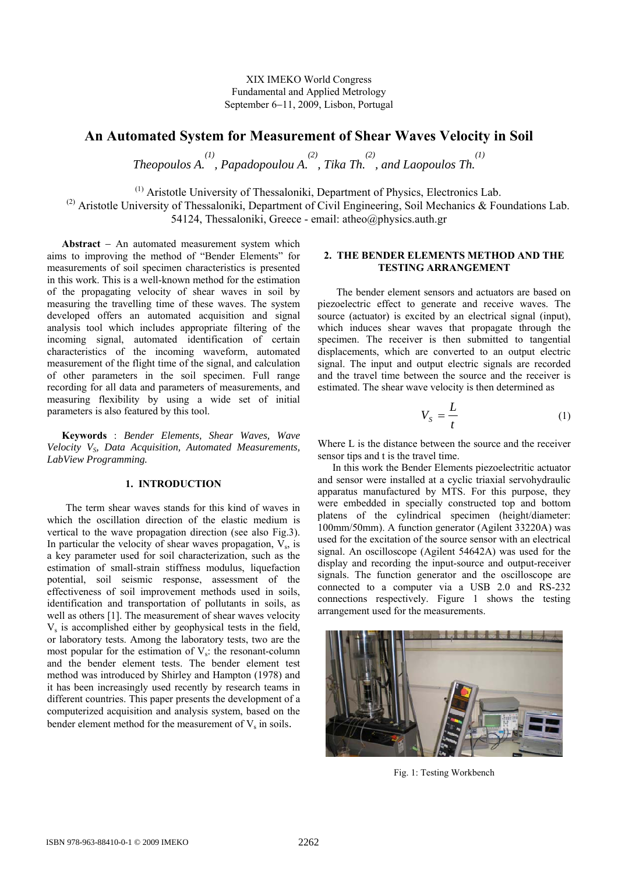XIX IMEKO World Congress Fundamental and Applied Metrology September 6−11, 2009, Lisbon, Portugal

# **An Automated System for Measurement of Shear Waves Velocity in Soil**

*Theopoulos A.*  $\cdot$ , *Papadopoulou A.*  $\cdot$ , *Tika Th.*  $\cdot$ , *and Laopoulos Th.*  $\cdot$  *(1)*  $\cdot$ 

(1) Aristotle University of Thessaloniki, Department of Physics, Electronics Lab.

<sup>(2)</sup> Aristotle University of Thessaloniki, Department of Civil Engineering, Soil Mechanics & Foundations Lab. 54124, Thessaloniki, Greece - email: atheo@physics.auth.gr

**Abstract** − An automated measurement system which aims to improving the method of "Bender Elements" for measurements of soil specimen characteristics is presented in this work. This is a well-known method for the estimation of the propagating velocity of shear waves in soil by measuring the travelling time of these waves. The system developed offers an automated acquisition and signal analysis tool which includes appropriate filtering of the incoming signal, automated identification of certain characteristics of the incoming waveform, automated measurement of the flight time of the signal, and calculation of other parameters in the soil specimen. Full range recording for all data and parameters of measurements, and measuring flexibility by using a wide set of initial parameters is also featured by this tool.

**Keywords** : *Bender Elements, Shear Waves, Wave Velocity VS, Data Acquisition, Automated Measurements, LabView Programming.*

### **1. INTRODUCTION**

The term shear waves stands for this kind of waves in which the oscillation direction of the elastic medium is vertical to the wave propagation direction (see also Fig.3). In particular the velocity of shear waves propagation,  $V_s$ , is a key parameter used for soil characterization, such as the estimation of small-strain stiffness modulus, liquefaction potential, soil seismic response, assessment of the effectiveness of soil improvement methods used in soils, identification and transportation of pollutants in soils, as well as others [1]. The measurement of shear waves velocity  $V<sub>s</sub>$  is accomplished either by geophysical tests in the field, or laboratory tests. Among the laboratory tests, two are the most popular for the estimation of  $V_s$ : the resonant-column and the bender element tests. The bender element test method was introduced by Shirley and Hampton (1978) and it has been increasingly used recently by research teams in different countries. This paper presents the development of a computerized acquisition and analysis system, based on the bender element method for the measurement of  $V_s$  in soils.

## **2. THE BENDER ELEMENTS METHOD AND THE TESTING ARRANGEMENT**

The bender element sensors and actuators are based on piezoelectric effect to generate and receive waves. The source (actuator) is excited by an electrical signal (input), which induces shear waves that propagate through the specimen. The receiver is then submitted to tangential displacements, which are converted to an output electric signal. The input and output electric signals are recorded and the travel time between the source and the receiver is estimated. The shear wave velocity is then determined as

$$
V_s = \frac{L}{t} \tag{1}
$$

Where L is the distance between the source and the receiver sensor tips and t is the travel time.

In this work the Bender Elements piezoelectritic actuator and sensor were installed at a cyclic triaxial servohydraulic apparatus manufactured by MTS. For this purpose, they were embedded in specially constructed top and bottom platens of the cylindrical specimen (height/diameter: 100mm/50mm). A function generator (Agilent 33220A) was used for the excitation of the source sensor with an electrical signal. An oscilloscope (Agilent 54642A) was used for the display and recording the input-source and output-receiver signals. The function generator and the oscilloscope are connected to a computer via a USB 2.0 and RS-232 connections respectively. Figure 1 shows the testing arrangement used for the measurements.



Fig. 1: Testing Workbench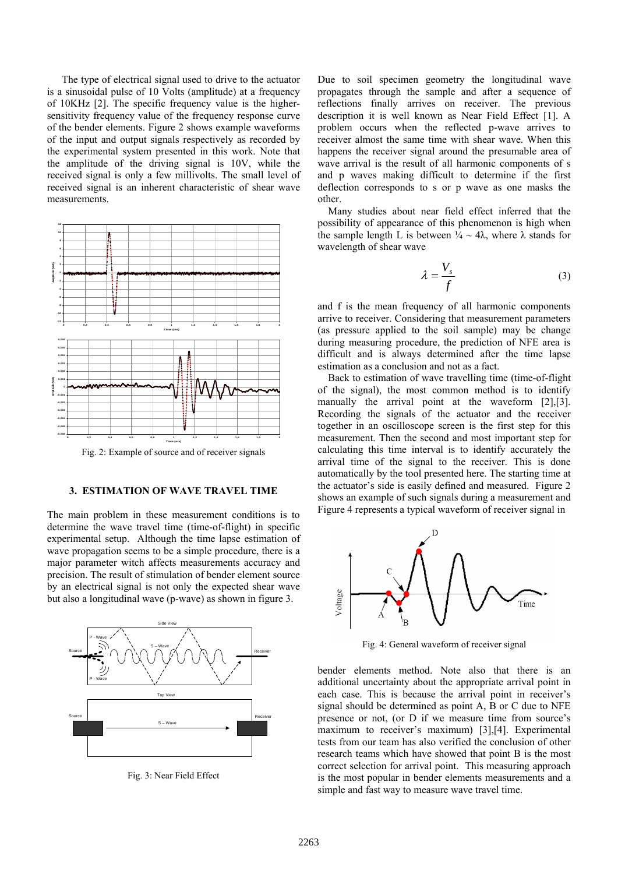The type of electrical signal used to drive to the actuator is a sinusoidal pulse of 10 Volts (amplitude) at a frequency of 10KHz [2]. The specific frequency value is the highersensitivity frequency value of the frequency response curve of the bender elements. Figure 2 shows example waveforms of the input and output signals respectively as recorded by the experimental system presented in this work. Note that the amplitude of the driving signal is 10V, while the received signal is only a few millivolts. The small level of received signal is an inherent characteristic of shear wave measurements.



Fig. 2: Example of source and of receiver signals

#### **3. ESTIMATION OF WAVE TRAVEL TIME**

The main problem in these measurement conditions is to determine the wave travel time (time-of-flight) in specific experimental setup. Although the time lapse estimation of wave propagation seems to be a simple procedure, there is a major parameter witch affects measurements accuracy and precision. The result of stimulation of bender element source by an electrical signal is not only the expected shear wave but also a longitudinal wave (p-wave) as shown in figure 3.



Fig. 3: Near Field Effect

Due to soil specimen geometry the longitudinal wave propagates through the sample and after a sequence of reflections finally arrives on receiver. The previous description it is well known as Near Field Effect [1]. A problem occurs when the reflected p-wave arrives to receiver almost the same time with shear wave. When this happens the receiver signal around the presumable area of wave arrival is the result of all harmonic components of s and p waves making difficult to determine if the first deflection corresponds to s or p wave as one masks the other.

 Many studies about near field effect inferred that the possibility of appearance of this phenomenon is high when the sample length L is between  $\frac{1}{4} \sim 4\lambda$ , where  $\lambda$  stands for wavelength of shear wave

$$
\lambda = \frac{V_s}{f} \tag{3}
$$

and f is the mean frequency of all harmonic components arrive to receiver. Considering that measurement parameters (as pressure applied to the soil sample) may be change during measuring procedure, the prediction of NFE area is difficult and is always determined after the time lapse estimation as a conclusion and not as a fact.

 Back to estimation of wave travelling time (time-of-flight of the signal), the most common method is to identify manually the arrival point at the waveform [2],[3]. Recording the signals of the actuator and the receiver together in an oscilloscope screen is the first step for this measurement. Then the second and most important step for calculating this time interval is to identify accurately the arrival time of the signal to the receiver. This is done automatically by the tool presented here. The starting time at the actuator's side is easily defined and measured. Figure 2 shows an example of such signals during a measurement and Figure 4 represents a typical waveform of receiver signal in



Fig. 4: General waveform of receiver signal

bender elements method. Note also that there is an additional uncertainty about the appropriate arrival point in each case. This is because the arrival point in receiver's signal should be determined as point A, B or C due to NFE presence or not, (or D if we measure time from source's maximum to receiver's maximum) [3],[4]. Experimental tests from our team has also verified the conclusion of other research teams which have showed that point B is the most correct selection for arrival point. This measuring approach is the most popular in bender elements measurements and a simple and fast way to measure wave travel time.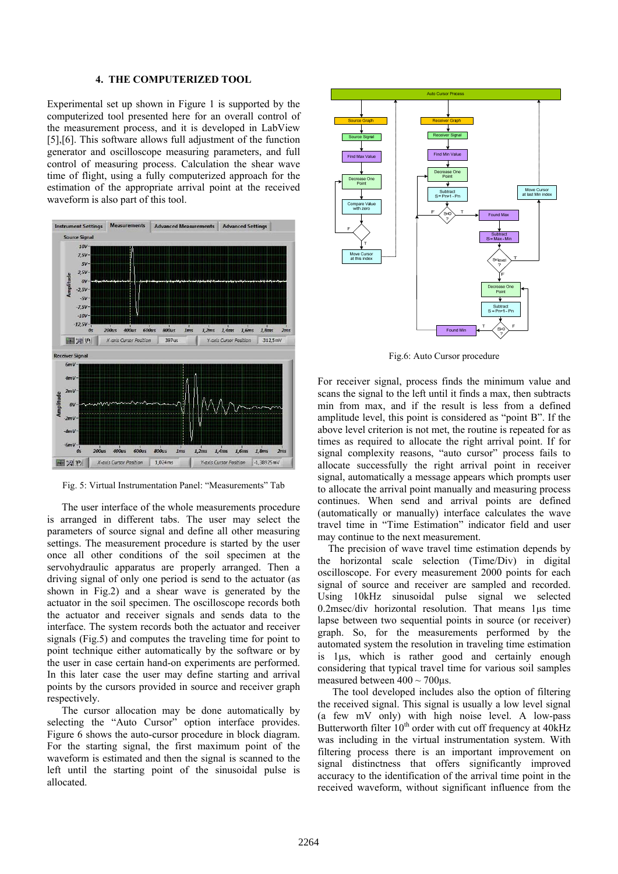## **4. THE COMPUTERIZED TOOL**

Experimental set up shown in Figure 1 is supported by the computerized tool presented here for an overall control of the measurement process, and it is developed in LabView [5],[6]. This software allows full adjustment of the function generator and oscilloscope measuring parameters, and full control of measuring process. Calculation the shear wave time of flight, using a fully computerized approach for the estimation of the appropriate arrival point at the received waveform is also part of this tool.



Fig. 5: Virtual Instrumentation Panel: "Measurements" Tab

The user interface of the whole measurements procedure is arranged in different tabs. The user may select the parameters of source signal and define all other measuring settings. The measurement procedure is started by the user once all other conditions of the soil specimen at the servohydraulic apparatus are properly arranged. Then a driving signal of only one period is send to the actuator (as shown in Fig.2) and a shear wave is generated by the actuator in the soil specimen. The oscilloscope records both the actuator and receiver signals and sends data to the interface. The system records both the actuator and receiver signals (Fig.5) and computes the traveling time for point to point technique either automatically by the software or by the user in case certain hand-on experiments are performed. In this later case the user may define starting and arrival points by the cursors provided in source and receiver graph respectively.

The cursor allocation may be done automatically by selecting the "Auto Cursor" option interface provides. Figure 6 shows the auto-cursor procedure in block diagram. For the starting signal, the first maximum point of the waveform is estimated and then the signal is scanned to the left until the starting point of the sinusoidal pulse is allocated.



Fig.6: Auto Cursor procedure

For receiver signal, process finds the minimum value and scans the signal to the left until it finds a max, then subtracts min from max, and if the result is less from a defined amplitude level, this point is considered as "point B". If the above level criterion is not met, the routine is repeated for as times as required to allocate the right arrival point. If for signal complexity reasons, "auto cursor" process fails to allocate successfully the right arrival point in receiver signal, automatically a message appears which prompts user to allocate the arrival point manually and measuring process continues. When send and arrival points are defined (automatically or manually) interface calculates the wave travel time in "Time Estimation" indicator field and user may continue to the next measurement.

 The precision of wave travel time estimation depends by the horizontal scale selection (Time/Div) in digital oscilloscope. For every measurement 2000 points for each signal of source and receiver are sampled and recorded. Using 10kHz sinusoidal pulse signal we selected 0.2msec/div horizontal resolution. That means 1μs time lapse between two sequential points in source (or receiver) graph. So, for the measurements performed by the automated system the resolution in traveling time estimation is 1μs, which is rather good and certainly enough considering that typical travel time for various soil samples measured between  $400 \sim 700 \mu s$ .

The tool developed includes also the option of filtering the received signal. This signal is usually a low level signal (a few mV only) with high noise level. A low-pass Butterworth filter  $10^{th}$  order with cut off frequency at  $40\text{kHz}$ was including in the virtual instrumentation system. With filtering process there is an important improvement on signal distinctness that offers significantly improved accuracy to the identification of the arrival time point in the received waveform, without significant influence from the